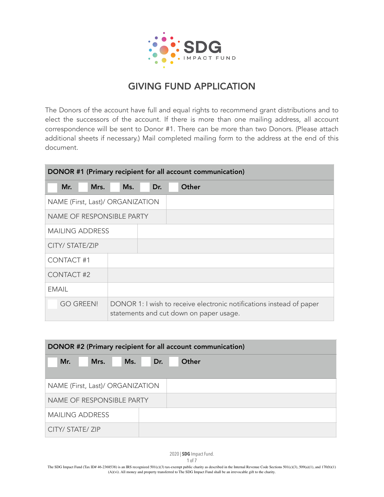

The Donors of the account have full and equal rights to recommend grant distributions and to elect the successors of the account. If there is more than one mailing address, all account correspondence will be sent to Donor #1. There can be more than two Donors. (Please attach additional sheets if necessary.) Mail completed mailing form to the address at the end of this document.

| DONOR #1 (Primary recipient for all account communication) |                                                                                                                 |     |       |  |
|------------------------------------------------------------|-----------------------------------------------------------------------------------------------------------------|-----|-------|--|
| Mr.<br>Mrs.                                                | Ms.                                                                                                             | Dr. | Other |  |
| NAME (First, Last)/ ORGANIZATION                           |                                                                                                                 |     |       |  |
| <b>NAME OF RESPONSIBLE PARTY</b>                           |                                                                                                                 |     |       |  |
| <b>MAILING ADDRESS</b>                                     |                                                                                                                 |     |       |  |
| CITY/ STATE/ZIP                                            |                                                                                                                 |     |       |  |
| CONTACT#1                                                  |                                                                                                                 |     |       |  |
| <b>CONTACT#2</b>                                           |                                                                                                                 |     |       |  |
| <b>EMAIL</b>                                               |                                                                                                                 |     |       |  |
| <b>GO GREEN!</b>                                           | DONOR 1: I wish to receive electronic notifications instead of paper<br>statements and cut down on paper usage. |     |       |  |

| DONOR #2 (Primary recipient for all account communication) |     |       |  |  |
|------------------------------------------------------------|-----|-------|--|--|
| Mr.<br>Mrs.<br>Ms.                                         | Dr. | Other |  |  |
| NAME (First, Last)/ ORGANIZATION                           |     |       |  |  |
| NAME OF RESPONSIBLE PARTY                                  |     |       |  |  |
| <b>MAILING ADDRESS</b>                                     |     |       |  |  |
| CITY/ STATE/ ZIP                                           |     |       |  |  |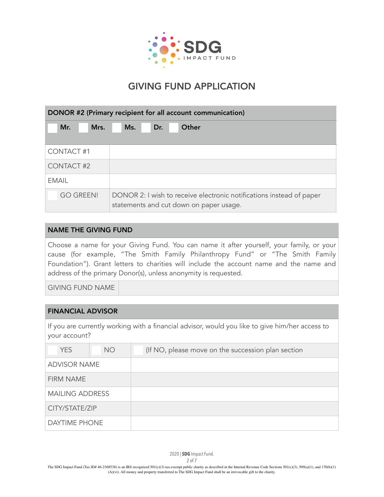

| DONOR #2 (Primary recipient for all account communication) |                                                                                                                 |  |
|------------------------------------------------------------|-----------------------------------------------------------------------------------------------------------------|--|
| Mr.<br>Mrs.                                                | Other<br>Dr.<br>Ms.                                                                                             |  |
| CONTACT#1                                                  |                                                                                                                 |  |
| CONTACT#2                                                  |                                                                                                                 |  |
| FMAIL                                                      |                                                                                                                 |  |
| <b>GO GREEN!</b>                                           | DONOR 2: I wish to receive electronic notifications instead of paper<br>statements and cut down on paper usage. |  |

### NAME THE GIVING FUND

Choose a name for your Giving Fund. You can name it after yourself, your family, or your cause (for example, "The Smith Family Philanthropy Fund" or "The Smith Family Foundation"). Grant letters to charities will include the account name and the name and address of the primary Donor(s), unless anonymity is requested.

GIVING FUND NAME

#### FINANCIAL ADVISOR

If you are currently working with a financial advisor, would you like to give him/her access to your account?

| <b>YES</b>             | <b>NO</b> | (If NO, please move on the succession plan section |
|------------------------|-----------|----------------------------------------------------|
| <b>ADVISOR NAME</b>    |           |                                                    |
| <b>FIRM NAME</b>       |           |                                                    |
| <b>MAILING ADDRESS</b> |           |                                                    |
| CITY/STATE/ZIP         |           |                                                    |
| DAYTIME PHONE          |           |                                                    |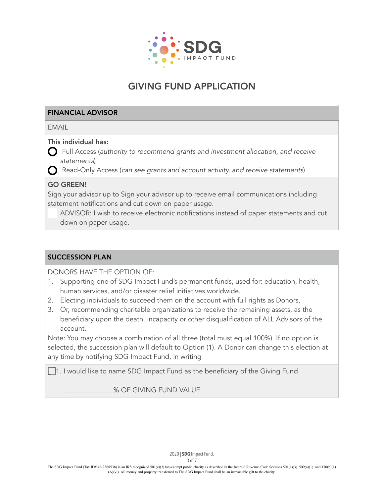

### FINANCIAL ADVISOR

EMAIL

## This individual has:

 $\bigcap$  Full Access (authority to recommend grants and investment allocation, and receive statements)

Read-Only Access (can see grants and account activity, and receive statements)

## GO GREEN!

Sign your advisor up to Sign your advisor up to receive email communications including statement notifications and cut down on paper usage.

ADVISOR: I wish to receive electronic notifications instead of paper statements and cut down on paper usage.

## SUCCESSION PLAN

DONORS HAVE THE OPTION OF:

- 1. Supporting one of SDG Impact Fund's permanent funds, used for: education, health, human services, and/or disaster relief initiatives worldwide.
- 2. Electing individuals to succeed them on the account with full rights as Donors,
- 3. Or, recommending charitable organizations to receive the remaining assets, as the beneficiary upon the death, incapacity or other disqualification of ALL Advisors of the account.

Note: You may choose a combination of all three (total must equal 100%). If no option is selected, the succession plan will default to Option (1). A Donor can change this election at any time by notifying SDG Impact Fund, in writing

1. I would like to name SDG Impact Fund as the beneficiary of the Giving Fund.

\_\_\_\_\_\_\_\_\_\_\_\_\_\_% OF GIVING FUND VALUE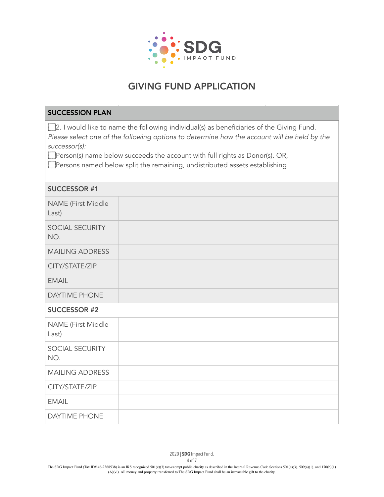

### SUCCESSION PLAN

2. I would like to name the following individual(s) as beneficiaries of the Giving Fund. Please select one of the following options to determine how the account will be held by the successor(s):

Person(s) name below succeeds the account with full rights as Donor(s). OR,

**Persons named below split the remaining, undistributed assets establishing** 

| <b>SUCCESSOR #1</b>         |  |
|-----------------------------|--|
| NAME (First Middle<br>Last) |  |
| SOCIAL SECURITY<br>NO.      |  |
| <b>MAILING ADDRESS</b>      |  |
| CITY/STATE/ZIP              |  |
| <b>EMAIL</b>                |  |
| <b>DAYTIME PHONE</b>        |  |
|                             |  |
| <b>SUCCESSOR #2</b>         |  |
| NAME (First Middle<br>Last) |  |
| SOCIAL SECURITY<br>NO.      |  |
| <b>MAILING ADDRESS</b>      |  |
| CITY/STATE/ZIP              |  |
| <b>EMAIL</b>                |  |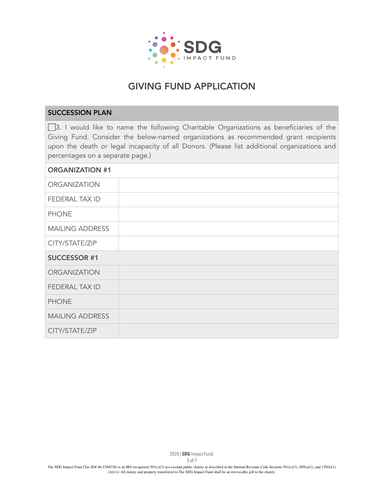

### SUCCESSION PLAN

3. I would like to name the following Charitable Organizations as beneficiaries of the Giving Fund. Consider the below-named organizations as recommended grant recipients upon the death or legal incapacity of all Donors. (Please list additional organizations and percentages on a separate page.)

| <b>ORGANIZATION #1</b> |  |
|------------------------|--|
| <b>ORGANIZATION</b>    |  |
| FEDERAL TAX ID         |  |
| <b>PHONE</b>           |  |
| <b>MAILING ADDRESS</b> |  |
| CITY/STATE/ZIP         |  |
|                        |  |
| <b>SUCCESSOR #1</b>    |  |
| <b>ORGANIZATION</b>    |  |
| FEDERAL TAX ID         |  |
| <b>PHONE</b>           |  |
| <b>MAILING ADDRESS</b> |  |

2020 | **SDG** Impact Fund.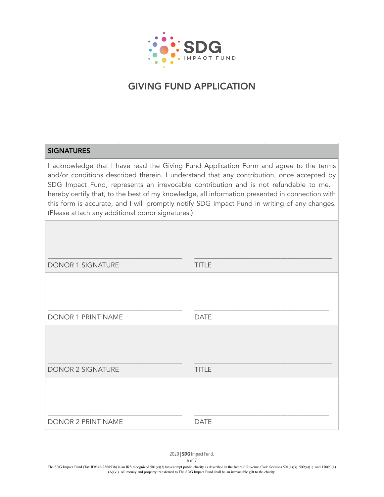

### **SIGNATURES**

I acknowledge that I have read the Giving Fund Application Form and agree to the terms and/or conditions described therein. I understand that any contribution, once accepted by SDG Impact Fund, represents an irrevocable contribution and is not refundable to me. I hereby certify that, to the best of my knowledge, all information presented in connection with this form is accurate, and I will promptly notify SDG Impact Fund in writing of any changes. (Please attach any additional donor signatures.)

| DONOR 1 SIGNATURE         | <b>TITLE</b> |
|---------------------------|--------------|
|                           |              |
| DONOR 1 PRINT NAME        | <b>DATE</b>  |
|                           |              |
| <b>DONOR 2 SIGNATURE</b>  | <b>TITLE</b> |
|                           |              |
| <b>DONOR 2 PRINT NAME</b> | <b>DATE</b>  |